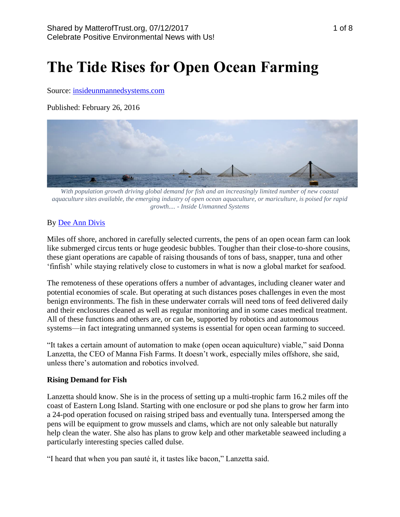# **The Tide Rises for Open Ocean Farming**

Source: [insideunmannedsystems.com](http://insideunmannedsystems.com/the-tide-rises-for-open-ocean-farming/)

Published: February 26, 2016



*With population growth driving global demand for fish and an increasingly limited number of new coastal aquaculture sites available, the emerging industry of open ocean aquaculture, or mariculture, is poised for rapid growth.... - Inside Unmanned Systems*

## By [Dee Ann Divis](https://insideunmannedsystems.com/author/dee-ann-divis/)

Miles off shore, anchored in carefully selected currents, the pens of an open ocean farm can look like submerged circus tents or huge geodesic bubbles. Tougher than their close-to-shore cousins, these giant operations are capable of raising thousands of tons of bass, snapper, tuna and other 'finfish' while staying relatively close to customers in what is now a global market for seafood.

The remoteness of these operations offers a number of advantages, including cleaner water and potential economies of scale. But operating at such distances poses challenges in even the most benign environments. The fish in these underwater corrals will need tons of feed delivered daily and their enclosures cleaned as well as regular monitoring and in some cases medical treatment. All of these functions and others are, or can be, supported by robotics and autonomous systems—in fact integrating unmanned systems is essential for open ocean farming to succeed.

"It takes a certain amount of automation to make (open ocean aquiculture) viable," said Donna Lanzetta, the CEO of Manna Fish Farms. It doesn't work, especially miles offshore, she said, unless there's automation and robotics involved.

#### **Rising Demand for Fish**

Lanzetta should know. She is in the process of setting up a multi-trophic farm 16.2 miles off the coast of Eastern Long Island. Starting with one enclosure or pod she plans to grow her farm into a 24-pod operation focused on raising striped bass and eventually tuna. Interspersed among the pens will be equipment to grow mussels and clams, which are not only saleable but naturally help clean the water. She also has plans to grow kelp and other marketable seaweed including a particularly interesting species called dulse.

"I heard that when you pan sauté it, it tastes like bacon," Lanzetta said.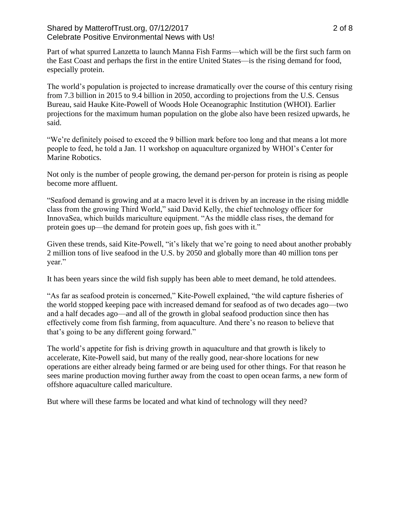#### Shared by MatterofTrust.org, 07/12/2017 2 of 8 Celebrate Positive Environmental News with Us!

Part of what spurred Lanzetta to launch Manna Fish Farms—which will be the first such farm on the East Coast and perhaps the first in the entire United States—is the rising demand for food, especially protein.

The world's population is projected to increase dramatically over the course of this century rising from 7.3 billion in 2015 to 9.4 billion in 2050, according to projections from the U.S. Census Bureau, said Hauke Kite-Powell of Woods Hole Oceanographic Institution (WHOI). Earlier projections for the maximum human population on the globe also have been resized upwards, he said.

"We're definitely poised to exceed the 9 billion mark before too long and that means a lot more people to feed, he told a Jan. 11 workshop on aquaculture organized by WHOI's Center for Marine Robotics.

Not only is the number of people growing, the demand per-person for protein is rising as people become more affluent.

"Seafood demand is growing and at a macro level it is driven by an increase in the rising middle class from the growing Third World," said David Kelly, the chief technology officer for InnovaSea, which builds mariculture equipment. "As the middle class rises, the demand for protein goes up—the demand for protein goes up, fish goes with it."

Given these trends, said Kite-Powell, "it's likely that we're going to need about another probably 2 million tons of live seafood in the U.S. by 2050 and globally more than 40 million tons per year."

It has been years since the wild fish supply has been able to meet demand, he told attendees.

"As far as seafood protein is concerned," Kite-Powell explained, "the wild capture fisheries of the world stopped keeping pace with increased demand for seafood as of two decades ago—two and a half decades ago—and all of the growth in global seafood production since then has effectively come from fish farming, from aquaculture. And there's no reason to believe that that's going to be any different going forward."

The world's appetite for fish is driving growth in aquaculture and that growth is likely to accelerate, Kite-Powell said, but many of the really good, near-shore locations for new operations are either already being farmed or are being used for other things. For that reason he sees marine production moving further away from the coast to open ocean farms, a new form of offshore aquaculture called mariculture.

But where will these farms be located and what kind of technology will they need?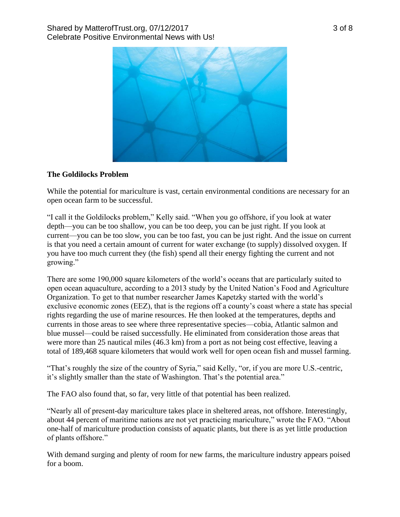

## **The Goldilocks Problem**

While the potential for mariculture is vast, certain environmental conditions are necessary for an open ocean farm to be successful.

"I call it the Goldilocks problem," Kelly said. "When you go offshore, if you look at water depth—you can be too shallow, you can be too deep, you can be just right. If you look at current—you can be too slow, you can be too fast, you can be just right. And the issue on current is that you need a certain amount of current for water exchange (to supply) dissolved oxygen. If you have too much current they (the fish) spend all their energy fighting the current and not growing."

There are some 190,000 square kilometers of the world's oceans that are particularly suited to open ocean aquaculture, according to a 2013 study by the United Nation's Food and Agriculture Organization. To get to that number researcher James Kapetzky started with the world's exclusive economic zones (EEZ), that is the regions off a county's coast where a state has special rights regarding the use of marine resources. He then looked at the temperatures, depths and currents in those areas to see where three representative species—cobia, Atlantic salmon and blue mussel—could be raised successfully. He eliminated from consideration those areas that were more than 25 nautical miles (46.3 km) from a port as not being cost effective, leaving a total of 189,468 square kilometers that would work well for open ocean fish and mussel farming.

"That's roughly the size of the country of Syria," said Kelly, "or, if you are more U.S.-centric, it's slightly smaller than the state of Washington. That's the potential area."

The FAO also found that, so far, very little of that potential has been realized.

"Nearly all of present-day mariculture takes place in sheltered areas, not offshore. Interestingly, about 44 percent of maritime nations are not yet practicing mariculture," wrote the FAO. "About one-half of mariculture production consists of aquatic plants, but there is as yet little production of plants offshore."

With demand surging and plenty of room for new farms, the mariculture industry appears poised for a boom.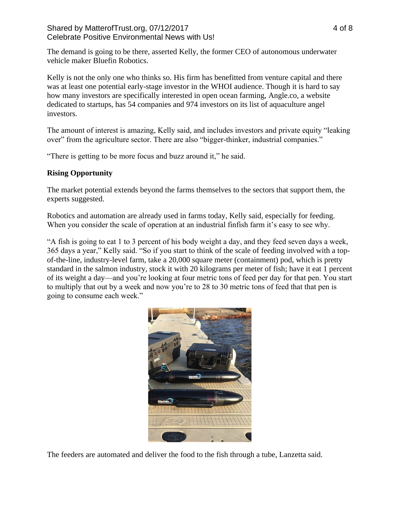The demand is going to be there, asserted Kelly, the former CEO of autonomous underwater vehicle maker Bluefin Robotics.

Kelly is not the only one who thinks so. His firm has benefitted from venture capital and there was at least one potential early-stage investor in the WHOI audience. Though it is hard to say how many investors are specifically interested in open ocean farming, Angle.co, a website dedicated to startups, has 54 companies and 974 investors on its list of aquaculture angel investors.

The amount of interest is amazing, Kelly said, and includes investors and private equity "leaking over" from the agriculture sector. There are also "bigger-thinker, industrial companies."

"There is getting to be more focus and buzz around it," he said.

## **Rising Opportunity**

The market potential extends beyond the farms themselves to the sectors that support them, the experts suggested.

Robotics and automation are already used in farms today, Kelly said, especially for feeding. When you consider the scale of operation at an industrial finfish farm it's easy to see why.

"A fish is going to eat 1 to 3 percent of his body weight a day, and they feed seven days a week, 365 days a year," Kelly said. "So if you start to think of the scale of feeding involved with a topof-the-line, industry-level farm, take a 20,000 square meter (containment) pod, which is pretty standard in the salmon industry, stock it with 20 kilograms per meter of fish; have it eat 1 percent of its weight a day—and you're looking at four metric tons of feed per day for that pen. You start to multiply that out by a week and now you're to 28 to 30 metric tons of feed that that pen is going to consume each week."



The feeders are automated and deliver the food to the fish through a tube, Lanzetta said.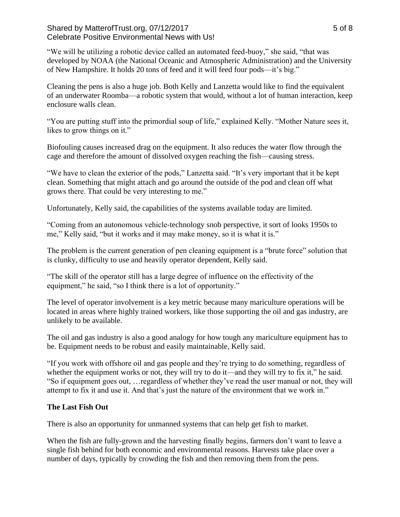## Shared by MatterofTrust.org, 07/12/2017 Shared by MatterofTrust.org, 07/12/2017 Celebrate Positive Environmental News with Us!

"We will be utilizing a robotic device called an automated feed-buoy," she said, "that was developed by NOAA (the National Oceanic and Atmospheric Administration) and the University of New Hampshire. It holds 20 tons of feed and it will feed four pods—it's big."

Cleaning the pens is also a huge job. Both Kelly and Lanzetta would like to find the equivalent of an underwater Roomba—a robotic system that would, without a lot of human interaction, keep enclosure walls clean.

"You are putting stuff into the primordial soup of life," explained Kelly. "Mother Nature sees it, likes to grow things on it."

Biofouling causes increased drag on the equipment. It also reduces the water flow through the cage and therefore the amount of dissolved oxygen reaching the fish—causing stress.

"We have to clean the exterior of the pods," Lanzetta said. "It's very important that it be kept clean. Something that might attach and go around the outside of the pod and clean off what grows there. That could be very interesting to me."

Unfortunately, Kelly said, the capabilities of the systems available today are limited.

"Coming from an autonomous vehicle-technology snob perspective, it sort of looks 1950s to me," Kelly said, "but it works and it may make money, so it is what it is."

The problem is the current generation of pen cleaning equipment is a "brute force" solution that is clunky, difficulty to use and heavily operator dependent, Kelly said.

"The skill of the operator still has a large degree of influence on the effectivity of the equipment," he said, "so I think there is a lot of opportunity."

The level of operator involvement is a key metric because many mariculture operations will be located in areas where highly trained workers, like those supporting the oil and gas industry, are unlikely to be available.

The oil and gas industry is also a good analogy for how tough any mariculture equipment has to be. Equipment needs to be robust and easily maintainable, Kelly said.

"If you work with offshore oil and gas people and they're trying to do something, regardless of whether the equipment works or not, they will try to do it—and they will try to fix it," he said. "So if equipment goes out, …regardless of whether they've read the user manual or not, they will attempt to fix it and use it. And that's just the nature of the environment that we work in."

## **The Last Fish Out**

There is also an opportunity for unmanned systems that can help get fish to market.

When the fish are fully-grown and the harvesting finally begins, farmers don't want to leave a single fish behind for both economic and environmental reasons. Harvests take place over a number of days, typically by crowding the fish and then removing them from the pens.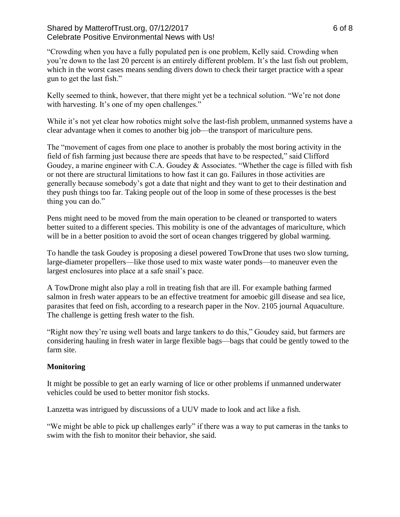## Shared by MatterofTrust.org, 07/12/2017 6 of 8 Celebrate Positive Environmental News with Us!

"Crowding when you have a fully populated pen is one problem, Kelly said. Crowding when you're down to the last 20 percent is an entirely different problem. It's the last fish out problem, which in the worst cases means sending divers down to check their target practice with a spear gun to get the last fish."

Kelly seemed to think, however, that there might yet be a technical solution. "We're not done with harvesting. It's one of my open challenges."

While it's not yet clear how robotics might solve the last-fish problem, unmanned systems have a clear advantage when it comes to another big job—the transport of mariculture pens.

The "movement of cages from one place to another is probably the most boring activity in the field of fish farming just because there are speeds that have to be respected," said Clifford Goudey, a marine engineer with C.A. Goudey & Associates. "Whether the cage is filled with fish or not there are structural limitations to how fast it can go. Failures in those activities are generally because somebody's got a date that night and they want to get to their destination and they push things too far. Taking people out of the loop in some of these processes is the best thing you can do."

Pens might need to be moved from the main operation to be cleaned or transported to waters better suited to a different species. This mobility is one of the advantages of mariculture, which will be in a better position to avoid the sort of ocean changes triggered by global warming.

To handle the task Goudey is proposing a diesel powered TowDrone that uses two slow turning, large-diameter propellers—like those used to mix waste water ponds—to maneuver even the largest enclosures into place at a safe snail's pace.

A TowDrone might also play a roll in treating fish that are ill. For example bathing farmed salmon in fresh water appears to be an effective treatment for amoebic gill disease and sea lice, parasites that feed on fish, according to a research paper in the Nov. 2105 journal Aquaculture. The challenge is getting fresh water to the fish.

"Right now they're using well boats and large tankers to do this," Goudey said, but farmers are considering hauling in fresh water in large flexible bags—bags that could be gently towed to the farm site.

## **Monitoring**

It might be possible to get an early warning of lice or other problems if unmanned underwater vehicles could be used to better monitor fish stocks.

Lanzetta was intrigued by discussions of a UUV made to look and act like a fish.

"We might be able to pick up challenges early" if there was a way to put cameras in the tanks to swim with the fish to monitor their behavior, she said.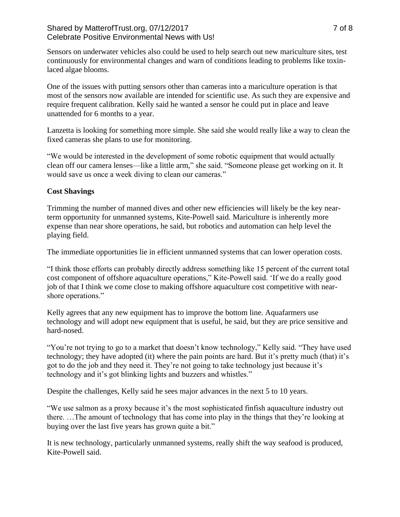## Shared by MatterofTrust.org, 07/12/2017 **The Contract Contract Contract Contract Contract Contract Contract Contract Contract Contract Contract Contract Contract Contract Contract Contract Contract Contract Contract Contra** Celebrate Positive Environmental News with Us!

Sensors on underwater vehicles also could be used to help search out new mariculture sites, test continuously for environmental changes and warn of conditions leading to problems like toxinlaced algae blooms.

One of the issues with putting sensors other than cameras into a mariculture operation is that most of the sensors now available are intended for scientific use. As such they are expensive and require frequent calibration. Kelly said he wanted a sensor he could put in place and leave unattended for 6 months to a year.

Lanzetta is looking for something more simple. She said she would really like a way to clean the fixed cameras she plans to use for monitoring.

"We would be interested in the development of some robotic equipment that would actually clean off our camera lenses—like a little arm," she said. "Someone please get working on it. It would save us once a week diving to clean our cameras."

## **Cost Shavings**

Trimming the number of manned dives and other new efficiencies will likely be the key nearterm opportunity for unmanned systems, Kite-Powell said. Mariculture is inherently more expense than near shore operations, he said, but robotics and automation can help level the playing field.

The immediate opportunities lie in efficient unmanned systems that can lower operation costs.

"I think those efforts can probably directly address something like 15 percent of the current total cost component of offshore aquaculture operations," Kite-Powell said. 'If we do a really good job of that I think we come close to making offshore aquaculture cost competitive with nearshore operations."

Kelly agrees that any new equipment has to improve the bottom line. Aquafarmers use technology and will adopt new equipment that is useful, he said, but they are price sensitive and hard-nosed.

"You're not trying to go to a market that doesn't know technology," Kelly said. "They have used technology; they have adopted (it) where the pain points are hard. But it's pretty much (that) it's got to do the job and they need it. They're not going to take technology just because it's technology and it's got blinking lights and buzzers and whistles."

Despite the challenges, Kelly said he sees major advances in the next 5 to 10 years.

"We use salmon as a proxy because it's the most sophisticated finfish aquaculture industry out there. …The amount of technology that has come into play in the things that they're looking at buying over the last five years has grown quite a bit."

It is new technology, particularly unmanned systems, really shift the way seafood is produced, Kite-Powell said.